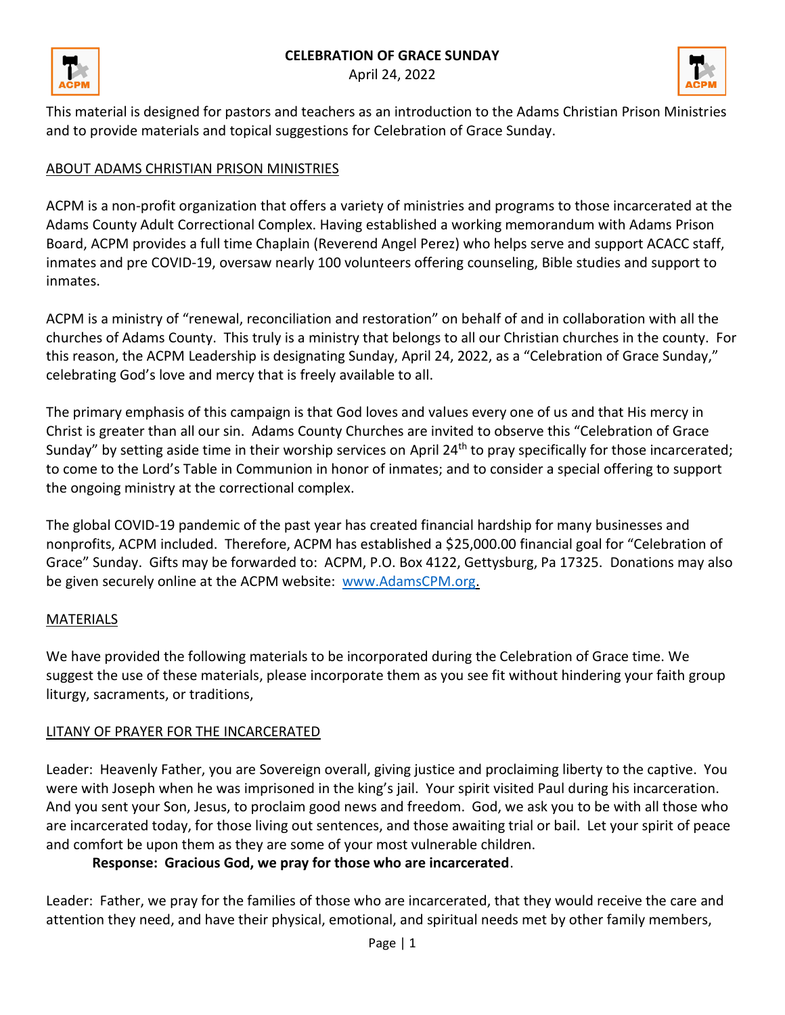### **CELEBRATION OF GRACE SUNDAY**







This material is designed for pastors and teachers as an introduction to the Adams Christian Prison Ministries and to provide materials and topical suggestions for Celebration of Grace Sunday.

## ABOUT ADAMS CHRISTIAN PRISON MINISTRIES

ACPM is a non-profit organization that offers a variety of ministries and programs to those incarcerated at the Adams County Adult Correctional Complex. Having established a working memorandum with Adams Prison Board, ACPM provides a full time Chaplain (Reverend Angel Perez) who helps serve and support ACACC staff, inmates and pre COVID-19, oversaw nearly 100 volunteers offering counseling, Bible studies and support to inmates.

ACPM is a ministry of "renewal, reconciliation and restoration" on behalf of and in collaboration with all the churches of Adams County. This truly is a ministry that belongs to all our Christian churches in the county. For this reason, the ACPM Leadership is designating Sunday, April 24, 2022, as a "Celebration of Grace Sunday," celebrating God's love and mercy that is freely available to all.

The primary emphasis of this campaign is that God loves and values every one of us and that His mercy in Christ is greater than all our sin. Adams County Churches are invited to observe this "Celebration of Grace Sunday" by setting aside time in their worship services on April 24<sup>th</sup> to pray specifically for those incarcerated; to come to the Lord's Table in Communion in honor of inmates; and to consider a special offering to support the ongoing ministry at the correctional complex.

The global COVID-19 pandemic of the past year has created financial hardship for many businesses and nonprofits, ACPM included. Therefore, ACPM has established a \$25,000.00 financial goal for "Celebration of Grace" Sunday. Gifts may be forwarded to: ACPM, P.O. Box 4122, Gettysburg, Pa 17325. Donations may also be given securely online at the ACPM website: [www.AdamsCPM.org.](http://www.adamscpm.org/)

### MATERIALS

We have provided the following materials to be incorporated during the Celebration of Grace time. We suggest the use of these materials, please incorporate them as you see fit without hindering your faith group liturgy, sacraments, or traditions,

### LITANY OF PRAYER FOR THE INCARCERATED

Leader: Heavenly Father, you are Sovereign overall, giving justice and proclaiming liberty to the captive. You were with Joseph when he was imprisoned in the king's jail. Your spirit visited Paul during his incarceration. And you sent your Son, Jesus, to proclaim good news and freedom. God, we ask you to be with all those who are incarcerated today, for those living out sentences, and those awaiting trial or bail. Let your spirit of peace and comfort be upon them as they are some of your most vulnerable children.

### **Response: Gracious God, we pray for those who are incarcerated**.

Leader: Father, we pray for the families of those who are incarcerated, that they would receive the care and attention they need, and have their physical, emotional, and spiritual needs met by other family members,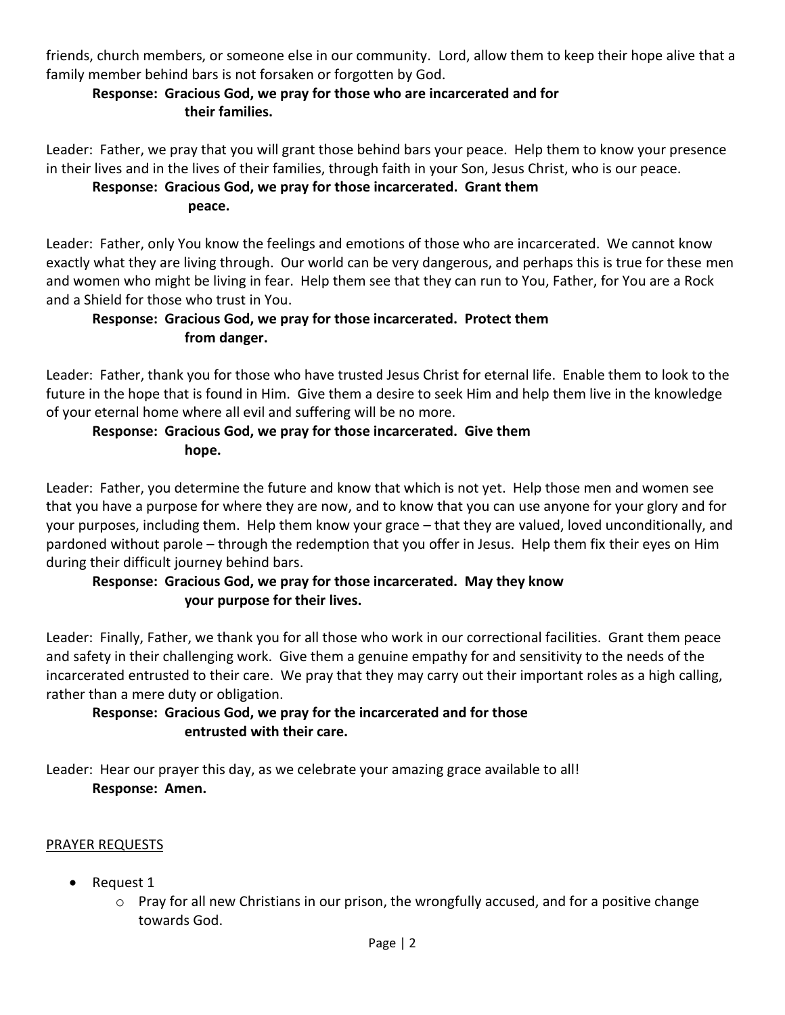friends, church members, or someone else in our community. Lord, allow them to keep their hope alive that a family member behind bars is not forsaken or forgotten by God.

# **Response: Gracious God, we pray for those who are incarcerated and for their families.**

Leader: Father, we pray that you will grant those behind bars your peace. Help them to know your presence in their lives and in the lives of their families, through faith in your Son, Jesus Christ, who is our peace.

### **Response: Gracious God, we pray for those incarcerated. Grant them**

**peace.** 

Leader: Father, only You know the feelings and emotions of those who are incarcerated. We cannot know exactly what they are living through. Our world can be very dangerous, and perhaps this is true for these men and women who might be living in fear. Help them see that they can run to You, Father, for You are a Rock and a Shield for those who trust in You.

## **Response: Gracious God, we pray for those incarcerated. Protect them from danger.**

Leader: Father, thank you for those who have trusted Jesus Christ for eternal life. Enable them to look to the future in the hope that is found in Him. Give them a desire to seek Him and help them live in the knowledge of your eternal home where all evil and suffering will be no more.

## **Response: Gracious God, we pray for those incarcerated. Give them hope.**

Leader: Father, you determine the future and know that which is not yet. Help those men and women see that you have a purpose for where they are now, and to know that you can use anyone for your glory and for your purposes, including them. Help them know your grace – that they are valued, loved unconditionally, and pardoned without parole – through the redemption that you offer in Jesus. Help them fix their eyes on Him during their difficult journey behind bars.

# **Response: Gracious God, we pray for those incarcerated. May they know your purpose for their lives.**

Leader: Finally, Father, we thank you for all those who work in our correctional facilities. Grant them peace and safety in their challenging work. Give them a genuine empathy for and sensitivity to the needs of the incarcerated entrusted to their care. We pray that they may carry out their important roles as a high calling, rather than a mere duty or obligation.

## **Response: Gracious God, we pray for the incarcerated and for those entrusted with their care.**

Leader: Hear our prayer this day, as we celebrate your amazing grace available to all! **Response: Amen.**

# PRAYER REQUESTS

- Request 1
	- o Pray for all new Christians in our prison, the wrongfully accused, and for a positive change towards God.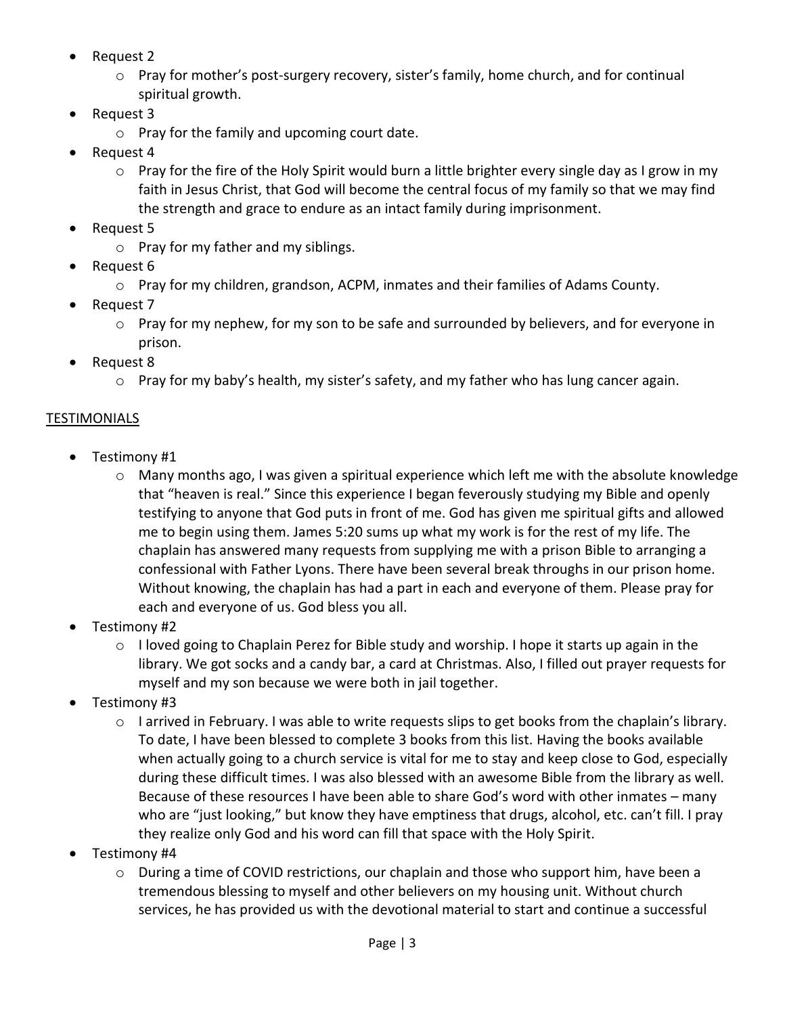- Request 2
	- o Pray for mother's post-surgery recovery, sister's family, home church, and for continual spiritual growth.
- Request 3
	- o Pray for the family and upcoming court date.
- Request 4
	- $\circ$  Pray for the fire of the Holy Spirit would burn a little brighter every single day as I grow in my faith in Jesus Christ, that God will become the central focus of my family so that we may find the strength and grace to endure as an intact family during imprisonment.
- Request 5
	- o Pray for my father and my siblings.
- Request 6
	- o Pray for my children, grandson, ACPM, inmates and their families of Adams County.
- Request 7
	- o Pray for my nephew, for my son to be safe and surrounded by believers, and for everyone in prison.
- Request 8
	- o Pray for my baby's health, my sister's safety, and my father who has lung cancer again.

## TESTIMONIALS

- Testimony #1
	- $\circ$  Many months ago, I was given a spiritual experience which left me with the absolute knowledge that "heaven is real." Since this experience I began feverously studying my Bible and openly testifying to anyone that God puts in front of me. God has given me spiritual gifts and allowed me to begin using them. James 5:20 sums up what my work is for the rest of my life. The chaplain has answered many requests from supplying me with a prison Bible to arranging a confessional with Father Lyons. There have been several break throughs in our prison home. Without knowing, the chaplain has had a part in each and everyone of them. Please pray for each and everyone of us. God bless you all.
- Testimony #2
	- $\circ$  I loved going to Chaplain Perez for Bible study and worship. I hope it starts up again in the library. We got socks and a candy bar, a card at Christmas. Also, I filled out prayer requests for myself and my son because we were both in jail together.
- Testimony #3
	- $\circ$  I arrived in February. I was able to write requests slips to get books from the chaplain's library. To date, I have been blessed to complete 3 books from this list. Having the books available when actually going to a church service is vital for me to stay and keep close to God, especially during these difficult times. I was also blessed with an awesome Bible from the library as well. Because of these resources I have been able to share God's word with other inmates – many who are "just looking," but know they have emptiness that drugs, alcohol, etc. can't fill. I pray they realize only God and his word can fill that space with the Holy Spirit.
- Testimony #4
	- o During a time of COVID restrictions, our chaplain and those who support him, have been a tremendous blessing to myself and other believers on my housing unit. Without church services, he has provided us with the devotional material to start and continue a successful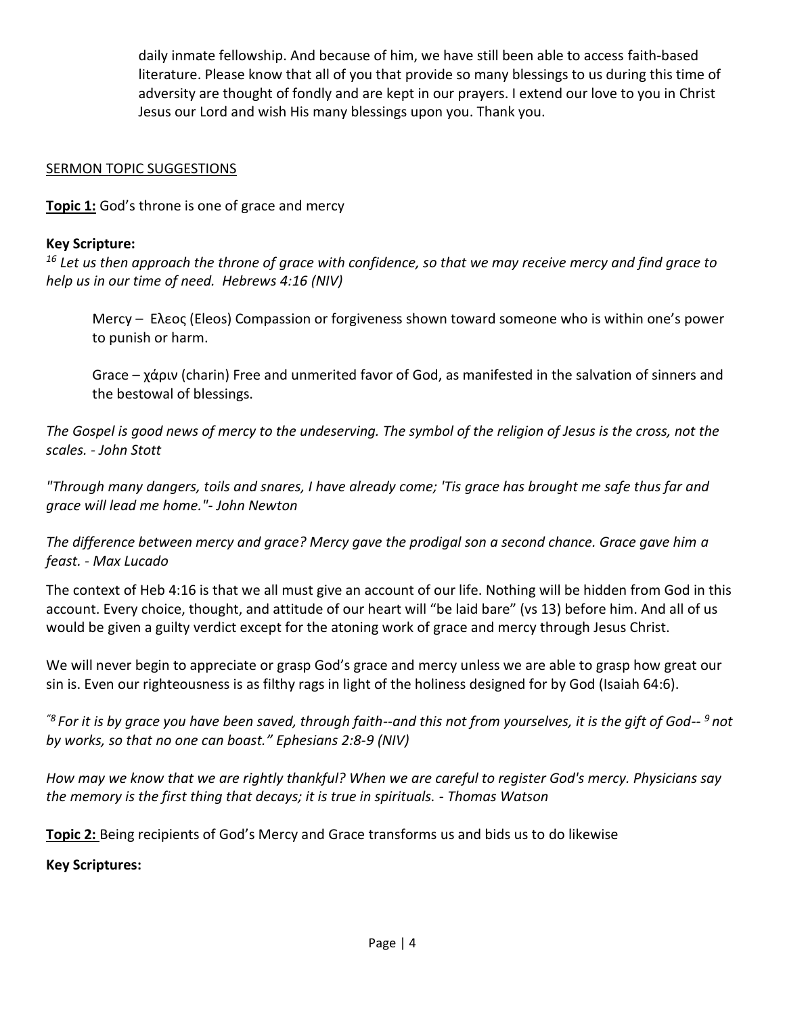daily inmate fellowship. And because of him, we have still been able to access faith-based literature. Please know that all of you that provide so many blessings to us during this time of adversity are thought of fondly and are kept in our prayers. I extend our love to you in Christ Jesus our Lord and wish His many blessings upon you. Thank you.

#### **SERMON TOPIC SUGGESTIONS**

**Topic 1:** God's throne is one of grace and mercy

#### **Key Scripture:**

*<sup>16</sup> Let us then approach the throne of grace with confidence, so that we may receive mercy and find grace to help us in our time of need. Hebrews 4:16 (NIV)*

Mercy – Eλεος (Eleos) Compassion or forgiveness shown toward someone who is within one's power to punish or harm.

Grace – χάριν (charin) Free and unmerited favor of God, as manifested in the salvation of sinners and the bestowal of blessings.

*The Gospel is good news of mercy to the undeserving. The symbol of the religion of Jesus is the cross, not the scales. - John Stott*

*"Through many dangers, toils and snares, I have already come; 'Tis grace has brought me safe thus far and grace will lead me home."- John Newton*

*The difference between mercy and grace? Mercy gave the prodigal son a second chance. Grace gave him a feast. - Max Lucado*

The context of Heb 4:16 is that we all must give an account of our life. Nothing will be hidden from God in this account. Every choice, thought, and attitude of our heart will "be laid bare" (vs 13) before him. And all of us would be given a guilty verdict except for the atoning work of grace and mercy through Jesus Christ.

We will never begin to appreciate or grasp God's grace and mercy unless we are able to grasp how great our sin is. Even our righteousness is as filthy rags in light of the holiness designed for by God (Isaiah 64:6).

*"<sup>8</sup>For it is by grace you have been saved, through faith--and this not from yourselves, it is the gift of God-- <sup>9</sup>not by works, so that no one can boast." Ephesians 2:8-9 (NIV)*

*How may we know that we are rightly thankful? When we are careful to register God's mercy. Physicians say the memory is the first thing that decays; it is true in spirituals. - Thomas Watson*

**Topic 2:** Being recipients of God's Mercy and Grace transforms us and bids us to do likewise

**Key Scriptures:**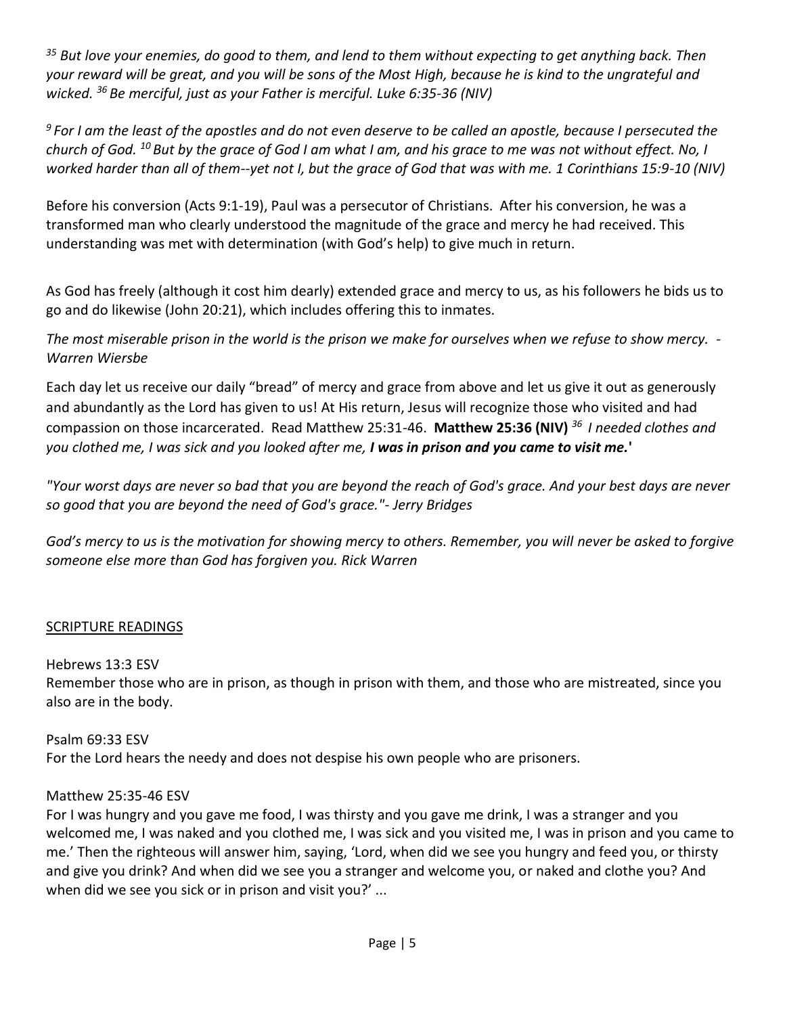*<sup>35</sup> But love your enemies, do good to them, and lend to them without expecting to get anything back. Then your reward will be great, and you will be sons of the Most High, because he is kind to the ungrateful and wicked. <sup>36</sup>Be merciful, just as your Father is merciful. Luke 6:35-36 (NIV)*

*<sup>9</sup>For I am the least of the apostles and do not even deserve to be called an apostle, because I persecuted the church of God. <sup>10</sup>But by the grace of God I am what I am, and his grace to me was not without effect. No, I worked harder than all of them--yet not I, but the grace of God that was with me. 1 Corinthians 15:9-10 (NIV)*

Before his conversion (Acts 9:1-19), Paul was a persecutor of Christians. After his conversion, he was a transformed man who clearly understood the magnitude of the grace and mercy he had received. This understanding was met with determination (with God's help) to give much in return.

As God has freely (although it cost him dearly) extended grace and mercy to us, as his followers he bids us to go and do likewise (John 20:21), which includes offering this to inmates.

*The most miserable prison in the world is the prison we make for ourselves when we refuse to show mercy. - Warren Wiersbe*

Each day let us receive our daily "bread" of mercy and grace from above and let us give it out as generously and abundantly as the Lord has given to us! At His return, Jesus will recognize those who visited and had compassion on those incarcerated. Read Matthew 25:31-46. **Matthew 25:36 (NIV)** *<sup>36</sup>I needed clothes and you clothed me, I was sick and you looked after me, I was in prison and you came to visit me.***'** 

*"Your worst days are never so bad that you are beyond the reach of God's grace. And your best days are never so good that you are beyond the need of God's grace."- Jerry Bridges*

*God's mercy to us is the motivation for showing mercy to others. Remember, you will never be asked to forgive someone else more than God has forgiven you. Rick Warren*

### SCRIPTURE READINGS

Hebrews 13:3 ESV

Remember those who are in prison, as though in prison with them, and those who are mistreated, since you also are in the body.

Psalm 69:33 ESV For the Lord hears the needy and does not despise his own people who are prisoners.

### Matthew 25:35-46 ESV

For I was hungry and you gave me food, I was thirsty and you gave me drink, I was a stranger and you welcomed me, I was naked and you clothed me, I was sick and you visited me, I was in prison and you came to me.' Then the righteous will answer him, saying, 'Lord, when did we see you hungry and feed you, or thirsty and give you drink? And when did we see you a stranger and welcome you, or naked and clothe you? And when did we see you sick or in prison and visit you?' ...